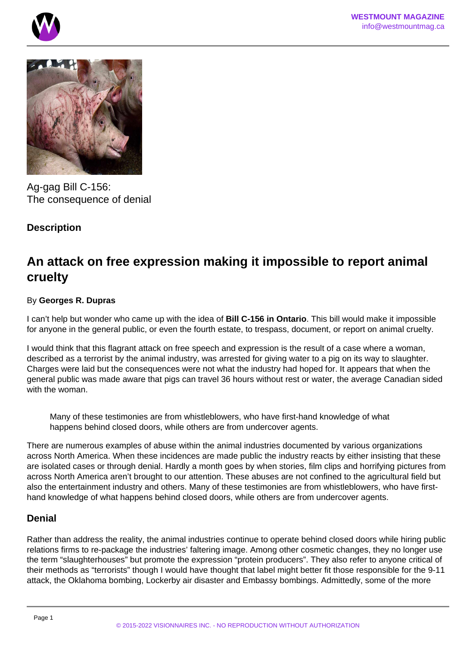



Ag-gag Bill C-156: The consequence of denial

# **Description**

# **An attack on free expression making it impossible to report animal cruelty**

## By **Georges R. Dupras**

I can't help but wonder who came up with the idea of **Bill C-156 in Ontario**. This bill would make it impossible for anyone in the general public, or even the fourth estate, to trespass, document, or report on animal cruelty.

I would think that this flagrant attack on free speech and expression is the result of a case where a woman, described as a terrorist by the animal industry, was arrested for giving water to a pig on its way to slaughter. Charges were laid but the consequences were not what the industry had hoped for. It appears that when the general public was made aware that pigs can travel 36 hours without rest or water, the average Canadian sided with the woman.

Many of these testimonies are from whistleblowers, who have first-hand knowledge of what happens behind closed doors, while others are from undercover agents.

There are numerous examples of abuse within the animal industries documented by various organizations across North America. When these incidences are made public the industry reacts by either insisting that these are isolated cases or through denial. Hardly a month goes by when stories, film clips and horrifying pictures from across North America aren't brought to our attention. These abuses are not confined to the agricultural field but also the entertainment industry and others. Many of these testimonies are from whistleblowers, who have firsthand knowledge of what happens behind closed doors, while others are from undercover agents.

# **Denial**

Rather than address the reality, the animal industries continue to operate behind closed doors while hiring public relations firms to re-package the industries' faltering image. Among other cosmetic changes, they no longer use the term "slaughterhouses" but promote the expression "protein producers". They also refer to anyone critical of their methods as "terrorists" though I would have thought that label might better fit those responsible for the 9-11 attack, the Oklahoma bombing, Lockerby air disaster and Embassy bombings. Admittedly, some of the more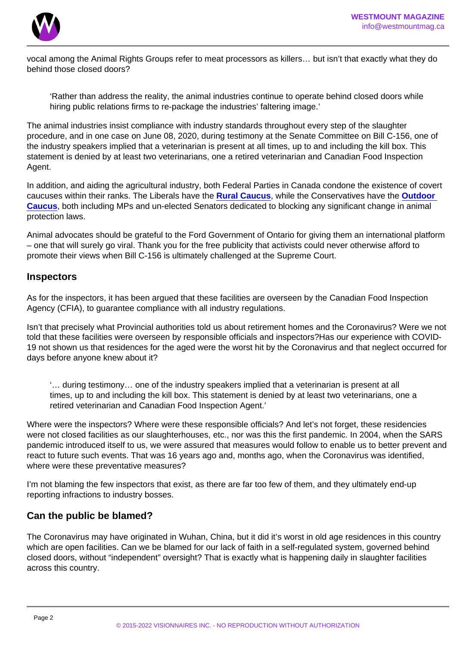vocal among the Animal Rights Groups refer to meat processors as killers… but isn't that exactly what they do behind those closed doors?

'Rather than address the reality, the animal industries continue to operate behind closed doors while hiring public relations firms to re-package the industries' faltering image.'

The animal industries insist compliance with industry standards throughout every step of the slaughter procedure, and in one case on June 08, 2020, during testimony at the Senate Committee on Bill C-156, one of the industry speakers implied that a veterinarian is present at all times, up to and including the kill box. This statement is denied by at least two veterinarians, one a retired veterinarian and Canadian Food Inspection Agent.

In addition, and aiding the agricultural industry, both Federal Parties in Canada condone the existence of covert caucuses within their ranks. The Liberals have the [Rural Caucus](/) , while the Conservatives have the [Outdoor](/)  [Caucus](/) , both including MPs and un-elected Senators dedicated to blocking any significant change in animal protection laws.

Animal advocates should be grateful to the Ford Government of Ontario for giving them an international platform – one that will surely go viral. Thank you for the free publicity that activists could never otherwise afford to promote their views when Bill C-156 is ultimately challenged at the Supreme Court.

#### Inspectors

As for the inspectors, it has been argued that these facilities are overseen by the Canadian Food Inspection Agency (CFIA), to guarantee compliance with all industry regulations.

Isn't that precisely what Provincial authorities told us about retirement homes and the Coronavirus? Were we not told that these facilities were overseen by responsible officials and inspectors?Has our experience with COVID-19 not shown us that residences for the aged were the worst hit by the Coronavirus and that neglect occurred for days before anyone knew about it?

'… during testimony… one of the industry speakers implied that a veterinarian is present at all times, up to and including the kill box. This statement is denied by at least two veterinarians, one a retired veterinarian and Canadian Food Inspection Agent.'

Where were the inspectors? Where were these responsible officials? And let's not forget, these residencies were not closed facilities as our slaughterhouses, etc., nor was this the first pandemic. In 2004, when the SARS pandemic introduced itself to us, we were assured that measures would follow to enable us to better prevent and react to future such events. That was 16 years ago and, months ago, when the Coronavirus was identified, where were these preventative measures?

I'm not blaming the few inspectors that exist, as there are far too few of them, and they ultimately end-up reporting infractions to industry bosses.

### Can the public be blamed?

The Coronavirus may have originated in Wuhan, China, but it did it's worst in old age residences in this country which are open facilities. Can we be blamed for our lack of faith in a self-regulated system, governed behind closed doors, without "independent" oversight? That is exactly what is happening daily in slaughter facilities across this country.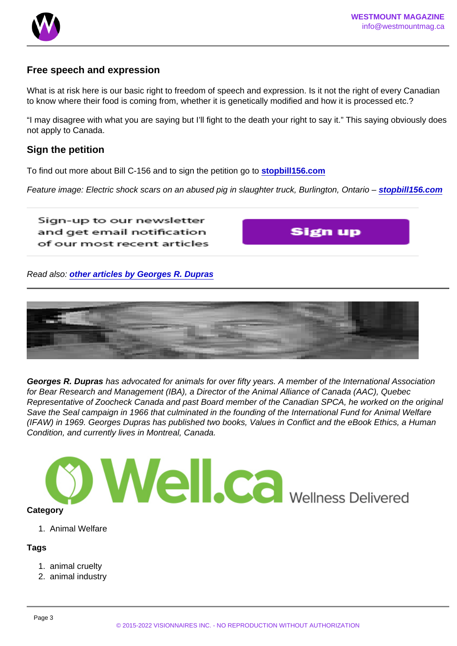## Free speech and expression

What is at risk here is our basic right to freedom of speech and expression. Is it not the right of every Canadian to know where their food is coming from, whether it is genetically modified and how it is processed etc.?

"I may disagree with what you are saying but I'll fight to the death your right to say it." This saying obviously does not apply to Canada.

#### Sign the petition

To find out more about Bill C-156 and to sign the petition go to [stopbill156.com](https://stopbill156.com/)

Feature image: Electric shock scars on an abused pig in slaughter truck, Burlington, Ontario – [stopbill156.com](https://stopbill156.com/)

Read also: [other articles by Georges R. Dupras](https://www.westmountmag.ca/?s=georges+dupras)

Georges R. Dupras has advocated for animals for over fifty years. A member of the International Association for Bear Research and Management (IBA), a Director of the Animal Alliance of Canada (AAC), Quebec Representative of Zoocheck Canada and past Board member of the Canadian SPCA, he worked on the original Save the Seal campaign in 1966 that culminated in the founding of the International Fund for Animal Welfare (IFAW) in 1969. Georges Dupras has published two books, Values in Conflict and the eBook Ethics, a Human Condition, and currently lives in Montreal, Canada.

**Category** 

1. Animal Welfare

Tags

- 1. animal cruelty
- 2. animal industry